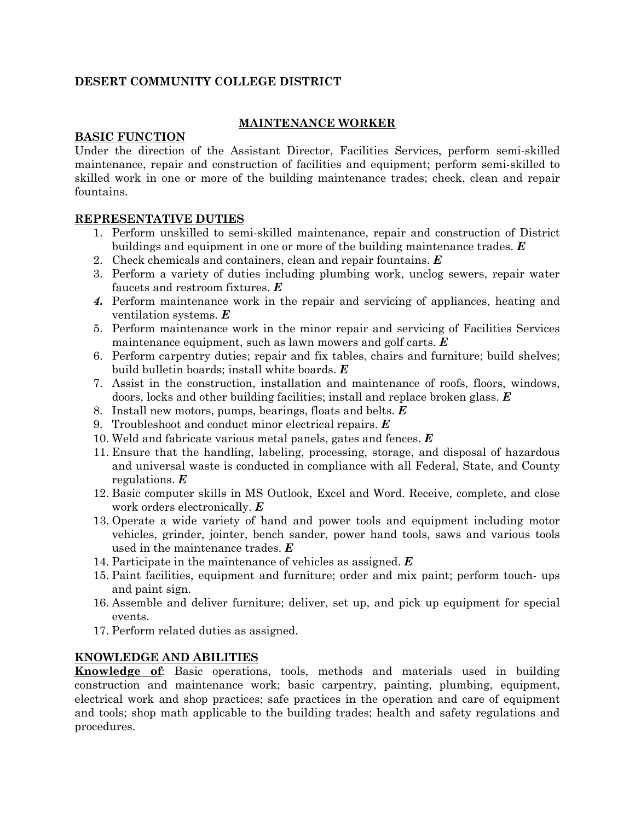# **DESERT COMMUNITY COLLEGE DISTRICT**

## **MAINTENANCE WORKER**

## **BASIC FUNCTION**

Under the direction of the Assistant Director, Facilities Services, perform semi-skilled maintenance, repair and construction of facilities and equipment; perform semi-skilled to skilled work in one or more of the building maintenance trades; check, clean and repair fountains.

#### **REPRESENTATIVE DUTIES**

- 1. Perform unskilled to semi-skilled maintenance, repair and construction of District buildings and equipment in one or more of the building maintenance trades. *E*
- 2. Check chemicals and containers, clean and repair fountains. *E*
- 3. Perform a variety of duties including plumbing work, unclog sewers, repair water faucets and restroom fixtures. *E*
- *4.* Perform maintenance work in the repair and servicing of appliances, heating and ventilation systems. *E*
- 5. Perform maintenance work in the minor repair and servicing of Facilities Services maintenance equipment, such as lawn mowers and golf carts. *E*
- 6. Perform carpentry duties; repair and fix tables, chairs and furniture; build shelves; build bulletin boards; install white boards. *E*
- 7. Assist in the construction, installation and maintenance of roofs, floors, windows, doors, locks and other building facilities; install and replace broken glass. *E*
- 8. Install new motors, pumps, bearings, floats and belts. *E*
- 9. Troubleshoot and conduct minor electrical repairs. *E*
- 10. Weld and fabricate various metal panels, gates and fences. *E*
- 11. Ensure that the handling, labeling, processing, storage, and disposal of hazardous and universal waste is conducted in compliance with all Federal, State, and County regulations. *E*
- 12. Basic computer skills in MS Outlook, Excel and Word. Receive, complete, and close work orders electronically. *E*
- 13. Operate a wide variety of hand and power tools and equipment including motor vehicles, grinder, jointer, bench sander, power hand tools, saws and various tools used in the maintenance trades. *E*
- 14. Participate in the maintenance of vehicles as assigned. *E*
- 15. Paint facilities, equipment and furniture; order and mix paint; perform touch- ups and paint sign.
- 16. Assemble and deliver furniture; deliver, set up, and pick up equipment for special events.
- 17. Perform related duties as assigned.

#### **KNOWLEDGE AND ABILITIES**

**Knowledge of**: Basic operations, tools, methods and materials used in building construction and maintenance work; basic carpentry, painting, plumbing, equipment, electrical work and shop practices; safe practices in the operation and care of equipment and tools; shop math applicable to the building trades; health and safety regulations and procedures.